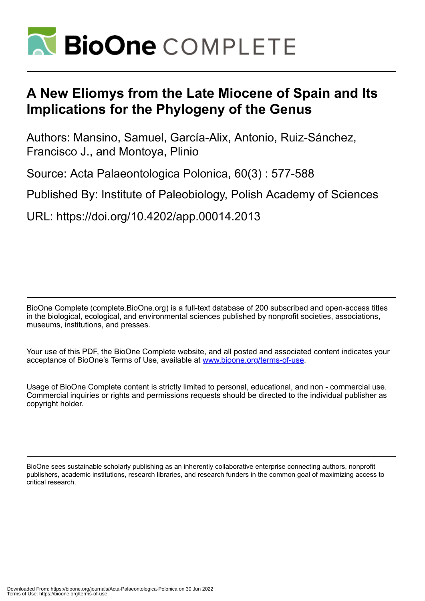

# **A New Eliomys from the Late Miocene of Spain and Its Implications for the Phylogeny of the Genus**

Authors: Mansino, Samuel, García-Alix, Antonio, Ruiz-Sánchez, Francisco J., and Montoya, Plinio

Source: Acta Palaeontologica Polonica, 60(3) : 577-588

Published By: Institute of Paleobiology, Polish Academy of Sciences

URL: https://doi.org/10.4202/app.00014.2013

BioOne Complete (complete.BioOne.org) is a full-text database of 200 subscribed and open-access titles in the biological, ecological, and environmental sciences published by nonprofit societies, associations, museums, institutions, and presses.

Your use of this PDF, the BioOne Complete website, and all posted and associated content indicates your acceptance of BioOne's Terms of Use, available at www.bioone.org/terms-of-use.

Usage of BioOne Complete content is strictly limited to personal, educational, and non - commercial use. Commercial inquiries or rights and permissions requests should be directed to the individual publisher as copyright holder.

BioOne sees sustainable scholarly publishing as an inherently collaborative enterprise connecting authors, nonprofit publishers, academic institutions, research libraries, and research funders in the common goal of maximizing access to critical research.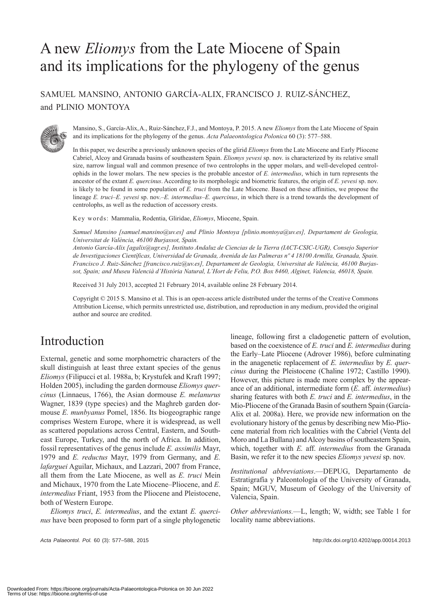# A new *Eliomys* from the Late Miocene of Spain and its implications for the phylogeny of the genus

SAMUEL MANSINO, ANTONIO GARCÍA-ALIX, FRANCISCO J. RUIZ-SÁNCHEZ, and PLINIO MONTOYA



Mansino, S., García-Alix,A., Ruiz-Sánchez,F.J., and Montoya, P. 2015. A new *Eliomys* from the Late Miocene of Spain and its implications for the phylogeny of the genus. *Acta Palaeontologica Polonica* 60 (3): 577–588.

In this paper, we describe a previously unknown species of the glirid *Eliomys* from the Late Miocene and Early Pliocene Cabriel, Alcoy and Granada basins of southeastern Spain. *Eliomys yevesi* sp. nov. is characterized by its relative small size, narrow lingual wall and common presence of two centrolophs in the upper molars, and well-developed centrolophids in the lower molars. The new species is the probable ancestor of *E. intermedius*, which in turn represents the ancestor of the extant *E. quercinus*. According to its morphologic and biometric features, the origin of *E. yevesi* sp. nov. is likely to be found in some population of *E. truci* from the Late Miocene. Based on these affinities, we propose the lineage *E. truci*–*E. yevesi* sp. nov.–*E. intermedius*–*E. quercinus*, in which there is a trend towards the development of centrolophs, as well as the reduction of accessory crests.

Key words: Mammalia, Rodentia, Gliridae, *Eliomys*, Miocene, Spain.

*Samuel Mansino [samuel.mansino@uv.es] and Plinio Montoya [plinio.montoya@uv.es], Departament de Geologia, Universitat de València, 46100 Burjassot, Spain.*

*Antonio García-Alix [agalix@ugr.es], Instituto Andaluz de Ciencias de la Tierra (IACT-CSIC-UGR), Consejo Superior de Investigaciones Científicas, Universidad de Granada, Avenida de las Palmeras nº 4 18100 Armilla, Granada, Spain. Francisco J. Ruiz-Sánchez [francisco.ruiz@uv.es], Departament de Geologia, Universitat de València, 46100 Burjassot, Spain; and Museu Valencià d'Història Natural, L'Hort de Feliu, P.O. Box 8460, Alginet, Valencia, 46018, Spain.*

Received 31 July 2013, accepted 21 February 2014, available online 28 February 2014.

Copyright © 2015 S. Mansino et al. This is an open-access article distributed under the terms of the Creative Commons Attribution License, which permits unrestricted use, distribution, and reproduction in any medium, provided the original author and source are credited.

## Introduction

External, genetic and some morphometric characters of the skull distinguish at least three extant species of the genus *Eliomys* (Filipucci et al. 1988a, b; Krystufek and Kraft 1997; Holden 2005), including the garden dormouse *Eliomys quercinus* (Linnaeus, 1766), the Asian dormouse *E. melanurus* Wagner, 1839 (type species) and the Maghreb garden dormouse *E. munbyanus* Pomel, 1856. Its biogeographic range comprises Western Europe, where it is widespread, as well as scattered populations across Central, Eastern, and Southeast Europe, Turkey, and the north of Africa. In addition, fossil representatives of the genus include *E. assimilis* Mayr, 1979 and *E. reductus* Mayr, 1979 from Germany, and *E. lafarguei* Aguilar, Michaux, and Lazzari, 2007 from France, all them from the Late Miocene, as well as *E. truci* Mein and Michaux, 1970 from the Late Miocene–Pliocene, and *E. intermedius* Friant, 1953 from the Pliocene and Pleistocene, both of Western Europe.

*Eliomys truci*, *E. intermedius*, and the extant *E. quercinus* have been proposed to form part of a single phylogenetic

*Acta Palaeontol. Pol.* 60 (3): 577–588, 2015 http://dx.doi.org/10.4202/app.00014.2013

lineage, following first a cladogenetic pattern of evolution, based on the coexistence of *E. truci* and *E. intermedius* during the Early–Late Pliocene (Adrover 1986), before culminating in the anagenetic replacement of *E. intermedius* by *E. quercinus* during the Pleistocene (Chaline 1972; Castillo 1990). However, this picture is made more complex by the appearance of an additional, intermediate form (*E*. aff. *intermedius*) sharing features with both *E. truci* and *E. intermedius*, in the Mio-Pliocene of the Granada Basin of southern Spain (García-Alix et al. 2008a). Here, we provide new information on the evolutionary history of the genus by describing new Mio-Pliocene material from rich localities with the Cabriel (Venta del Moro and La Bullana) and Alcoy basins of southeastern Spain, which, together with *E.* aff. *intermedius* from the Granada Basin, we refer it to the new species *Eliomys yevesi* sp. nov.

*Institutional abbreviations*.—DEPUG, Departamento de Estratigrafía y Paleontología of the University of Granada, Spain; MGUV, Museum of Geology of the University of Valencia, Spain.

*Other abbreviations.*—L, length; W, width; see Table 1 for locality name abbreviations.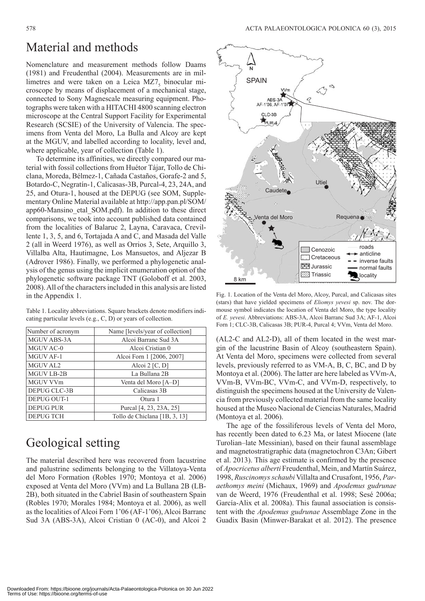## Material and methods

Nomenclature and measurement methods follow Daams (1981) and Freudenthal (2004). Measurements are in millimetres and were taken on a Leica  $MZ7<sub>5</sub>$  binocular microscope by means of displacement of a mechanical stage, connected to Sony Magnescale measuring equipment. Photographs were taken with a HITACHI 4800 scanning electron microscope at the Central Support Facility for Experimental Research (SCSIE) of the University of Valencia. The specimens from Venta del Moro, La Bulla and Alcoy are kept at the MGUV, and labelled according to locality, level and, where applicable, year of collection (Table 1).

To determine its affinities, we directly compared our material with fossil collections from Huétor Tájar, Tollo de Chiclana, Moreda, Bélmez-1, Cañada Castaños, Gorafe-2 and 5, Botardo-C, Negratín-1, Calicasas-3B, Purcal-4, 23, 24A, and 25, and Otura-1, housed at the DEPUG (see SOM, Supplementary Online Material available at http://app.pan.pl/SOM/ [app60-Mansino\\_etal\\_SOM.pdf\). In addition to these direct](http://app.pan.pl/SOM/app60-Mansino_etal_SOM.pdf)  comparisons, we took into account published data contained from the localities of Balaruc 2, Layna, Caravaca, Crevillente 1, 3, 5, and 6, Tortajada A and C, and Masada del Valle 2 (all in Weerd 1976), as well as Orrios 3, Sete, Arquillo 3, Villalba Alta, Hautimagne, Los Mansuetos, and Aljezar B (Adrover 1986). Finally, we performed a phylogenetic analysis of the genus using the implicit enumeration option of the phylogenetic software package TNT (Goloboff et al. 2003, 2008). All of the characters included in this analysis are listed in the Appendix 1.

Table 1. Locality abbreviations. Square brackets denote modifiers indicating particular levels (e.g., C, D) or years of collection.

| Number of acronym  | Name [levels/year of collection] |
|--------------------|----------------------------------|
| MGUV ABS-3A        | Alcoi Barranc Sud 3A             |
| MGUV AC-0          | Alcoi Cristian 0                 |
| <b>MGUV AF-1</b>   | Alcoi Forn 1 [2006, 2007]        |
| MGUV AL2           | Alcoi $2 [C, D]$                 |
| <b>MGUV LB-2B</b>  | La Bullana 2B                    |
| MGUV VVm           | Venta del Moro [A-D]             |
| DEPUG CLC-3B       | Calicasas 3B                     |
| <b>DEPUG OUT-1</b> | Otura 1                          |
| <b>DEPUG PUR</b>   | Purcal [4, 23, 23A, 25]          |
| <b>DEPUG TCH</b>   | Tollo de Chiclana [1B, 3, 13]    |

## Geological setting

The material described here was recovered from lacustrine and palustrine sediments belonging to the Villatoya-Venta del Moro Formation (Robles 1970; Montoya et al. 2006) exposed at Venta del Moro (VVm) and La Bullana 2B (LB-2B), both situated in the Cabriel Basin of southeastern Spain (Robles 1970; Morales 1984; Montoya et al. 2006), as well as the localities of Alcoi Forn 1'06 (AF-1'06), Alcoi Barranc Sud 3A (ABS-3A), Alcoi Cristian 0 (AC-0), and Alcoi 2



Fig. 1. Location of the Venta del Moro, Alcoy, Purcal, and Calicasas sites (stars) that have yielded specimens of *Eliomys yevesi* sp. nov. The dormouse symbol indicates the location of Venta del Moro, the type locality of *E. yevesi*. Abbreviations: ABS-3A, Alcoi Barranc Sud 3A; AF-1, Alcoi Forn 1; CLC-3B, Calicasas 3B; PUR-4, Purcal 4; VVm, Venta del Moro.

(AL2-C and AL2-D), all of them located in the west margin of the lacustrine Basin of Alcoy (southeastern Spain). At Venta del Moro, specimens were collected from several levels, previously referred to as VM-A, B, C, BC, and D by Montoya et al. (2006). The latter are here labeled as VVm-A, VVm-B, VVm-BC, VVm-C, and VVm-D, respectively, to distinguish the specimens housed at the University de Valencia from previously collected material from the same locality housed at the Museo Nacional de Ciencias Naturales, Madrid (Montoya et al. 2006).

The age of the fossiliferous levels of Venta del Moro, has recently been dated to 6.23 Ma, or latest Miocene (late Turolian–late Messinian), based on their faunal assemblage and magnetostratigraphic data (magnetochron C3An; Gibert et al. 2013). This age estimate is confirmed by the presence of *Apocricetus alberti* Freudenthal, Mein, and Martín Suárez, 1998, *Ruscinomys schaubi* Villalta and Crusafont, 1956, *Paraethomys meini* (Michaux, 1969) and *Apodemus gudrunae* van de Weerd, 1976 (Freudenthal et al. 1998; Sesé 2006a; García-Alix et al. 2008a). This faunal association is consistent with the *Apodemus gudrunae* Assemblage Zone in the Guadix Basin (Minwer-Barakat et al. 2012). The presence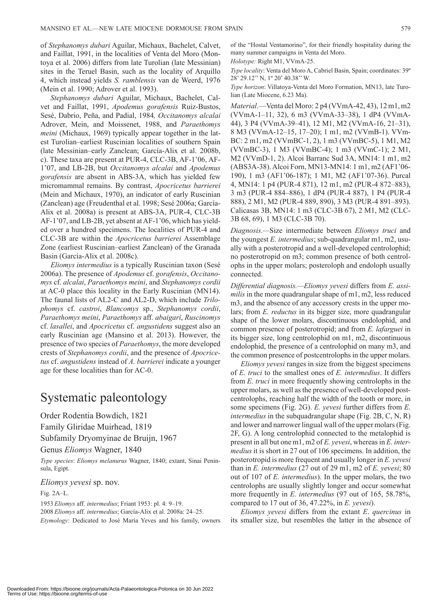of *Stephanomys dubari* Aguilar, Michaux, Bachelet, Calvet, and Faillat, 1991, in the localities of Venta del Moro (Montoya et al. 2006) differs from late Turolian (late Messinian) sites in the Teruel Basin, such as the locality of Arquillo 4, which instead yields *S. ramblensis* van de Weerd, 1976 (Mein et al. 1990; Adrover et al. 1993).

*Stephanomys dubari* Aguilar, Michaux, Bachelet, Calvet and Faillat, 1991, *Apodemus gorafensis* Ruiz-Bustos, Sesé, Dabrio, Peña, and Padial, 1984*, Occitanomys alcalai* Adrover, Mein, and Moissenet, 1988, and *Paraethomys meini* (Michaux, 1969) typically appear together in the latest Turolian–earliest Ruscinian localities of southern Spain (late Messinian–early Zanclean; García-Alix et al. 2008b, c). These taxa are present at PUR-4, CLC-3B, AF-1'06, AF-1'07, and LB-2B, but *Occitanomys alcalai* and *Apodemus gorafensis* are absent in ABS-3A, which has yielded few micromammal remains. By contrast, *Apocricetus barrierei* (Mein and Michaux, 1970), an indicator of early Ruscinian (Zanclean) age (Freudenthal et al. 1998; Sesé 2006a; García-Alix et al. 2008a) is present at ABS-3A, PUR-4, CLC-3B AF-1'07, and LB-2B, yet absent at AF-1'06, which has yielded over a hundred specimens. The localities of PUR-4 and CLC-3B are within the *Apocricetus barrierei* Assemblage Zone (earliest Ruscinian–earliest Zanclean) of the Granada Basin (García-Alix et al. 2008c).

*Eliomys intermedius* is a typically Ruscinian taxon (Sesé 2006a). The presence of *Apodemus* cf. *gorafensis*, *Occitanomys* cf. *alcalai*, *Paraethomys meini*, and *Stephanomys cordii*  at AC-0 place this locality in the Early Ruscinian (MN14). The faunal lists of AL2-C and AL2-D, which include *Trilophomys* cf. *castroi*, *Blancomys* sp., *Stephanomys cordii*, *Paraethomys meini*, *Paraethomys* aff. *abaigari*, *Ruscinomys* cf. *lasallei*, and *Apocricetus* cf. *angustidens* suggest also an early Ruscinian age (Mansino et al. 2013). However, the presence of two species of *Paraethomys*, the more developed crests of *Stephanomys cordii*, and the presence of *Apocricetus* cf. *angustidens* instead of *A. barrierei* indicate a younger age for these localities than for AC-0.

## Systematic paleontology

Order Rodentia Bowdich, 1821 Family Gliridae Muirhead, 1819 Subfamily Dryomyinae de Bruijn, 1967 Genus *Eliomys* Wagner, 1840

*Type species*: *Eliomys melanurus* Wagner, 1840; extant, Sinai Peninsula, Egipt.

*Eliomys yevesi* sp. nov.

Fig. 2A–L.

1953 *Eliomys* aff. *intermedius*; Friant 1953: pl. 4: 9–19. 2008 *Eliomys* aff. *intermedius*; García-Alix et al. 2008a: 24–25. *Etymology*: Dedicated to José María Yeves and his family, owners of the "Hostal Ventamorino", for their friendly hospitality during the many summer campaigns in Venta del Moro.

*Holotype:* Right M1, VVmA-25.

*Type locality*: Venta del Moro A, Cabriel Basin, Spain; coordinates: 39º 28' 29.12'' N, 1º 20' 40.38'' W.

*Type horizon*: Villatoya-Venta del Moro Formation, MN13, late Turolian (Late Miocene, 6.23 Ma).

*Material*.—Venta del Moro: 2 p4 (VVmA-42, 43), 12 m1, m2 (VVmA-1–11, 32), 6 m3 (VVmA-33–38), 1 dP4 (VVmA-44), 3 P4 (VVmA-39–41), 12 M1, M2 (VVmA-16, 21–31), 8 M3 (VVmA-12–15, 17–20); 1 m1, m2 (VVmB-1). VVm-BC: 2 m1, m2 (VVmBC-1, 2), 1 m3 (VVmBC-5), 1 M1, M2 (VVmBC-3), 1 M3 (VVmBC-4); 1 m3 (VVmC-1); 2 M1, M2 (VVmD-1, 2). Alcoi Barranc Sud 3A, MN14: 1 m1, m2 (ABS3A-38). Alcoi Forn, MN13-MN14: 1 m1, m2 (AF1'06- 190), 1 m3 (AF1'06-187); 1 M1, M2 (AF1'07-36). Purcal 4, MN14: 1 p4 (PUR-4 871), 12 m1, m2 (PUR-4 872–883), 3 m3 (PUR-4 884–886), 1 dP4 (PUR-4 887), 1 P4 (PUR-4 888), 2 M1, M2 (PUR-4 889, 890), 3 M3 (PUR-4 891–893). Calicasas 3B, MN14: 1 m3 (CLC-3B 67), 2 M1, M2 (CLC-3B 68, 69), 1 M3 (CLC-3B 70).

*Diagnosis.—*Size intermediate between *Eliomys truci* and the youngest *E. intermedius*; sub-quadrangular m1, m2, usually with a posterotropid and a well-developed centrolophid; no posterotropid on m3; common presence of both centrolophs in the upper molars; posteroloph and endoloph usually connected.

*Differential diagnosis.—Eliomys yevesi* differs from *E. assimilis* in the more quadrangular shape of m1, m2, less reduced m3, and the absence of any accessory crests in the upper molars; from *E. reductus* in its bigger size, more quadrangular shape of the lower molars, discontinuous endolophid, and common presence of posterotropid; and from *E. lafarguei* in its bigger size, long centrolophid on m1, m2, discontinuous endolophid, the presence of a centrolophid on many m3, and the common presence of postcentrolophs in the upper molars.

*Eliomys yevesi* ranges in size from the biggest specimens of *E. truci* to the smallest ones of *E. intermedius*. It differs from *E. truci* in more frequently showing centrolophs in the upper molars, as well as the presence of well-developed postcentrolophs, reaching half the width of the tooth or more, in some specimens (Fig. 2G). *E. yevesi* further differs from *E*. *intermedius* in the subquadrangular shape (Fig. 2B, C, N, R) and lower and narrower lingual wall of the upper molars (Fig. 2F, G). A long centrolophid connected to the metalophid is present in all but one m1, m2 of *E. yevesi*, whereas in *E. intermedius* it is short in 27 out of 106 specimens. In addition, the posterotropid is more frequent and usually longer in *E. yevesi* than in *E. intermedius* (27 out of 29 m1, m2 of *E. yevesi*; 80 out of 107 of *E. intermedius*). In the upper molars, the two centrolophs are usually slightly longer and occur somewhat more frequently in *E. intermedius* (97 out of 165, 58.78%, compared to 17 out of 36, 47.22%, in *E. yevesi*).

*Eliomys yevesi* differs from the extant *E*. *quercinus* in its smaller size, but resembles the latter in the absence of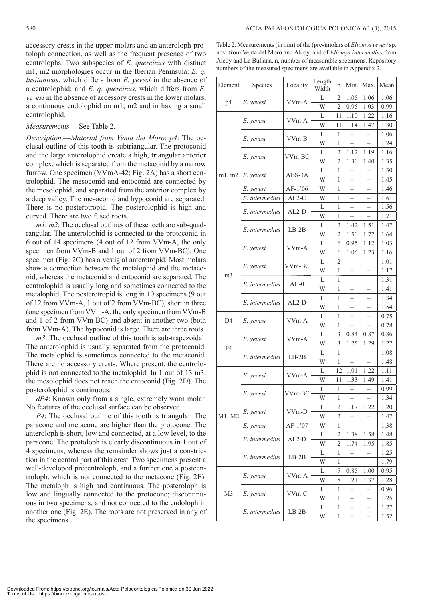accessory crests in the upper molars and an anteroloph-protoloph connection, as well as the frequent presence of two centrolophs. Two subspecies of *E. quercinus* with distinct m1, m2 morphologies occur in the Iberian Peninsula: *E. q. lusitanicus*, which differs from *E. yevesi* in the absence of a centrolophid; and *E. q. quercinus*, which differs from *E. yevesi* in the absence of accessory crests in the lower molars, a continuous endolophid on m1, m2 and in having a small centrolophid.

#### *Measurements.*—See Table 2.

*Description*.—*Material from Venta del Moro*: *p4*: The occlusal outline of this tooth is subtriangular. The protoconid and the large anterolophid create a high, triangular anterior complex, which is separated from the metaconid by a narrow furrow. One specimen (VVmA-42; Fig. 2A) has a short centrolophid. The mesoconid and entoconid are connected by the mesolophid, and separated from the anterior complex by a deep valley. The mesoconid and hypoconid are separated. There is no posterotropid. The posterolophid is high and curved. There are two fused roots.

*m1, m2*: The occlusal outlines of these teeth are sub-quadrangular. The anterolophid is connected to the protoconid in 6 out of 14 specimens (4 out of 12 from VVm-A, the only specimen from VVm-B and 1 out of 2 from VVm-BC). One specimen (Fig. 2C) has a vestigial anterotropid. Most molars show a connection between the metalophid and the metaconid, whereas the metaconid and entoconid are separated. The centrolophid is usually long and sometimes connected to the metalophid. The posterotropid is long in 10 specimens (9 out of 12 from VVm-A, 1 out of 2 from VVm-BC), short in three (one specimen from VVm-A, the only specimen from VVm-B and 1 of 2 from VVm-BC) and absent in another two (both from VVm-A). The hypoconid is large. There are three roots.

*m3*: The occlusal outline of this tooth is sub-trapezoidal. The anterolophid is usually separated from the protoconid. The metalophid is sometimes connected to the metaconid. There are no accessory crests. Where present, the centrolophid is not connected to the metalophid. In 1 out of 13 m3, the mesolophid does not reach the entoconid (Fig. 2D). The posterolophid is continuous.

*dP4*: Known only from a single, extremely worn molar. No features of the occlusal surface can be observed.

*P4*: The occlusal outline of this tooth is triangular. The paracone and metacone are higher than the protocone. The anteroloph is short, low and connected, at a low level, to the paracone. The protoloph is clearly discontinuous in 1 out of 4 specimens, whereas the remainder shows just a constriction in the central part of this crest. Two specimens present a well-developed precentroloph, and a further one a postcentroloph, which is not connected to the metacone (Fig. 2E). The metaloph is high and continuous. The posteroloph is low and lingually connected to the protocone; discontinuous in two specimens, and not connected to the endoloph in another one (Fig. 2E). The roots are not preserved in any of the specimens.

Table 2. Measurements (in mm) of the (pre-)molars of *Eliomys yevesi* sp. nov. from Venta del Moro and Alcoy, and of *Eliomys intermedius* from Alcoy and La Bullana. n, number of measurable specimens. Repository numbers of the measured specimens are available in Appendix 2.

| Element        | Species                     | Locality                      | Length<br>Width | n              | Min.                     | Max.                     | Mean |
|----------------|-----------------------------|-------------------------------|-----------------|----------------|--------------------------|--------------------------|------|
| p <sub>4</sub> |                             |                               | L               | 2              | 1.05                     | 1.06                     | 1.06 |
|                | E. yevesi                   | VV <sub>m</sub> -A            | W               | 2              | 0.95                     | 1.03                     | 0.99 |
|                | E. yevesi                   | VVm-A                         | L               | 11             | 1.10                     | 1.22                     | 1.16 |
|                |                             |                               | W               | 11             | 1.14                     | 1.47                     | 1.30 |
|                | E. yevesi                   | VVm-B                         | L               | 1              |                          |                          | 1.06 |
|                |                             |                               | W               | 1              |                          | $\overline{\phantom{0}}$ | 1.24 |
|                | E. yevesi                   | VVm-BC                        | L               | 2              | 1.12                     | 1.19                     | 1.16 |
|                |                             |                               | W               | 2              | 1.30                     | 1.40                     | 1.35 |
| m1, m2         | E. yevesi                   | ABS-3A                        | L               | 1              | $\overline{\phantom{0}}$ |                          | 1.30 |
|                |                             |                               | W               | 1              | $\overline{\phantom{0}}$ | $\overline{\phantom{0}}$ | 1.45 |
|                | E. yevesi                   | AF-1'06                       | W               | 1              |                          |                          | 1.46 |
|                | E. intermedius              | $AL2-C$                       | W               | 1              |                          |                          | 1.61 |
|                | E. intermedius              | $AL2-D$                       | L               | 1              |                          |                          | 1.56 |
|                |                             |                               | W               | 1              |                          | $\overline{\phantom{0}}$ | 1.71 |
|                | E. intermedius              | $LB-2B$                       | L               | 2              | 1.42                     | 1.51                     | 1.47 |
|                |                             |                               | W               | 2              | 1.50                     | 1.77                     | 1.64 |
|                | E. yevesi                   | VVm-A                         | L               | 6              | 0.95                     | 1.12                     | 1.03 |
|                |                             |                               | W               | 6              | 1.06                     | 1.23                     | 1.16 |
|                | E. yevesi                   | VVm-BC                        | L               | $\overline{c}$ |                          |                          | 1.01 |
| m <sub>3</sub> |                             |                               | W               | 1              |                          |                          | 1.17 |
|                | E. intermedius              | $AC-0$                        | L               | 1              |                          |                          | 1.31 |
|                |                             |                               | W               | 1              |                          | $\overline{\phantom{0}}$ | 1.41 |
|                | E. intermedius              | $AL2-D$                       | L               | 1              | $\overline{\phantom{0}}$ | $\overline{\phantom{0}}$ | 1.34 |
|                |                             |                               | W               | 1              | $\overline{\phantom{0}}$ | $\overline{\phantom{0}}$ | 1.54 |
| D <sub>4</sub> | E. yevesi                   | VVm-A                         | L               | 1              | $\overline{\phantom{0}}$ | $\overline{\phantom{0}}$ | 0.75 |
|                |                             |                               | W               | 1              | $\overline{\phantom{0}}$ | $\overline{a}$           | 0.78 |
|                | E. yevesi<br>E. intermedius | VV <sub>m</sub> -A<br>$LB-2B$ | L               | 3              | 0.84                     | 0.87                     | 0.86 |
| <b>P4</b>      |                             |                               | W               | 3              | 1.25                     | 1.29                     | 1.27 |
|                |                             |                               | L               | 1              |                          |                          | 1.08 |
|                |                             |                               | W               | 1              | $\overline{\phantom{0}}$ | $\overline{\phantom{0}}$ | 1.48 |
|                | E. yevesi                   | VVm-A                         | L               | 12             | 1.01                     | 1.22                     | 1.11 |
|                |                             |                               | W               | 11             | 1.33                     | 1.49                     | 1.41 |
|                | E. yevesi                   | VVm-BC                        | L               | 1              | $\overline{\phantom{0}}$ | $\overline{\phantom{0}}$ | 0.99 |
|                |                             |                               | W               | 1              | $\overline{a}$           | $\overline{\phantom{0}}$ | 1.34 |
| M1, M2         | E. yevesi                   | VVm-D                         | L               | 2              | 1.17                     | 1.22                     | 1.20 |
|                |                             |                               | W               | 2              |                          |                          | 1.47 |
|                | E. vevesi                   | AF-1'07                       | W               | 1              |                          |                          | 1.38 |
| M3             | E. intermedius              | $AL2-D$                       | L               | 2              | 1.38                     | 1.58                     | 1.48 |
|                | E. intermedius<br>E. yevesi | $LB-2B$<br>VVm-A              | W               | 2              | 1.74                     | 1.95                     | 1.85 |
|                |                             |                               | L<br>W          | 1              |                          |                          | 1.25 |
|                |                             |                               |                 | 1              | $\overline{\phantom{0}}$ |                          | 1.79 |
|                |                             |                               | L<br>W          | 7              | 0.85                     | 1.00                     | 0.95 |
|                |                             |                               |                 | 8              | 1.21                     | 1.37                     | 1.28 |
|                | E. yevesi                   | VVm-C                         | L<br>W          | 1              |                          |                          | 0.96 |
|                | E. intermedius              | $LB-2B$                       |                 | 1              |                          |                          | 1.25 |
|                |                             |                               | L<br>W          | 1<br>1         |                          | $\overline{\phantom{0}}$ | 1.27 |
|                |                             |                               |                 |                | $\overline{\phantom{0}}$ | $\overline{\phantom{0}}$ | 1.52 |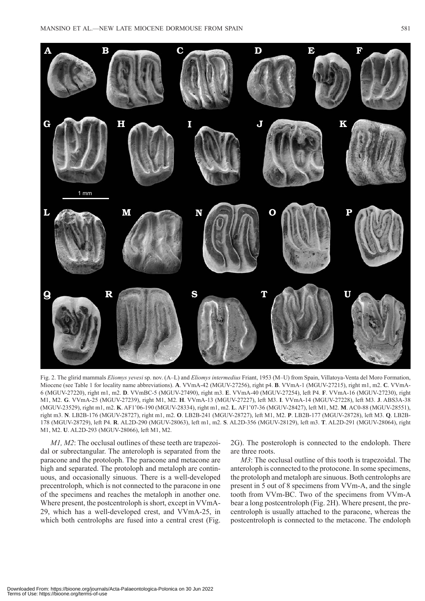

Fig. 2. The glirid mammals *Eliomys yevesi* sp. nov. (A–L) and *Eliomys intermedius* Friant, 1953 (M–U) from Spain, Villatoya-Venta del Moro Formation, Miocene (see Table 1 for locality name abbreviations). **A**. VVmA-42 (MGUV-27256), right p4. **B**. VVmA-1 (MGUV-27215), right m1, m2. **C**. VVmA-6 (MGUV-27220), right m1, m2. **D**. VVmBC-5 (MGUV-27490), right m3. **E**. VVmA-40 (MGUV-27254), left P4. **F**. VVmA-16 (MGUV-27230), right M1, M2. **G**. VVmA-25 (MGUV-27239), right M1, M2. **H**. VVmA-13 (MGUV-27227), left M3. **I**. VVmA-14 (MGUV-27228), left M3. **J**. ABS3A-38 (MGUV-23529), right m1, m2. **K**. AF1'06-190 (MGUV-28334), right m1, m2. **L**. AF1'07-36 (MGUV-28427), left M1, M2. **M**. AC0-88 (MGUV-28551), right m3. **N**. LB2B-176 (MGUV-28727), right m1, m2. **O**. LB2B-241 (MGUV-28727), left M1, M2. **P**. LB2B-177 (MGUV-28728), left M3. **Q**. LB2B-178 (MGUV-28729), left P4. **R**. AL2D-290 (MGUV-28063), left m1, m2. **S**. AL2D-356 (MGUV-28129), left m3. **T**. AL2D-291 (MGUV-28064), right M1, M2. **U**. AL2D-293 (MGUV-28066), left M1, M2.

*M1, M2*: The occlusal outlines of these teeth are trapezoidal or subrectangular. The anteroloph is separated from the paracone and the protoloph. The paracone and metacone are high and separated. The protoloph and metaloph are continuous, and occasionally sinuous. There is a well-developed precentroloph, which is not connected to the paracone in one of the specimens and reaches the metaloph in another one. Where present, the postcentroloph is short, except in VVmA-29, which has a well-developed crest, and VVmA-25, in which both centrolophs are fused into a central crest (Fig. 2G). The posteroloph is connected to the endoloph. There are three roots.

*M3*: The occlusal outline of this tooth is trapezoidal. The anteroloph is connected to the protocone. In some specimens, the protoloph and metaloph are sinuous. Both centrolophs are present in 5 out of 8 specimens from VVm-A, and the single tooth from VVm-BC. Two of the specimens from VVm-A bear a long postcentroloph (Fig. 2H). Where present, the precentroloph is usually attached to the paracone, whereas the postcentroloph is connected to the metacone. The endoloph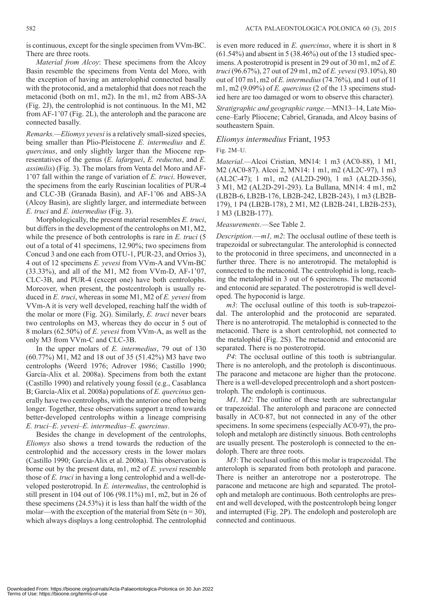is continuous, except for the single specimen from VVm-BC. There are three roots.

*Material from Alcoy*: These specimens from the Alcoy Basin resemble the specimens from Venta del Moro, with the exception of having an anterolophid connected basally with the protoconid, and a metalophid that does not reach the metaconid (both on m1, m2). In the m1, m2 from ABS-3A (Fig. 2J), the centrolophid is not continuous. In the M1, M2 from AF-1'07 (Fig. 2L), the anteroloph and the paracone are connected basally.

*Remarks.—Eliomys yevesi* is a relatively small-sized species, being smaller than Plio-Pleistocene *E. intermedius* and *E. quercinus*, and only slightly larger than the Miocene representatives of the genus (*E. lafarguei*, *E. reductus*, and *E. assimilis*) (Fig. 3). The molars from Venta del Moro and AF-1'07 fall within the range of variation of *E. truci*. However, the specimens from the early Ruscinian localities of PUR-4 and CLC-3B (Granada Basin), and AF-1'06 and ABS-3A (Alcoy Basin), are slightly larger, and intermediate between *E. truci* and *E. intermedius* (Fig. 3).

Morphologically, the present material resembles *E. truci*, but differs in the development of the centrolophs on M1, M2, while the presence of both centrolophs is rare in *E. truci* (5 out of a total of 41 specimens, 12.90%; two specimens from Concud 3 and one each from OTU-1, PUR-23, and Orrios 3), 4 out of 12 specimens *E. yevesi* from VVm-A and VVm-BC (33.33%), and all of the M1, M2 from VVm-D, AF-1'07, CLC-3B, and PUR-4 (except one) have both centrolophs. Moreover, when present, the postcentroloph is usually reduced in *E. truci*, whereas in some M1, M2 of *E. yevesi* from VVm-A it is very well developed, reaching half the width of the molar or more (Fig. 2G). Similarly, *E. truci* never bears two centrolophs on M3, whereas they do occur in 5 out of 8 molars (62.50%) of *E. yevesi* from VVm-A, as well as the only M3 from VVm-C and CLC-3B.

In the upper molars of *E. intermedius*, 79 out of 130 (60.77%) M1, M2 and 18 out of 35 (51.42%) M3 have two centrolophs (Weerd 1976; Adrover 1986; Castillo 1990; García-Alix et al. 2008a). Specimens from both the extant (Castillo 1990) and relatively young fossil (e.g., Casablanca B; García-Alix et al. 2008a) populations of *E. quercinus* generally have two centrolophs, with the anterior one often being longer. Together, these observations support a trend towards better-developed centrolophs within a lineage comprising *E. truci*–*E. yevesi*–*E. intermedius*–*E. quercinus*.

Besides the change in development of the centrolophs, *Eliomys* also shows a trend towards the reduction of the centrolophid and the accessory crests in the lower molars (Castillo 1990; García-Alix et al. 2008a). This observation is borne out by the present data, m1, m2 of *E. yevesi* resemble those of *E. truci* in having a long centrolophid and a well-developed posterotropid. In *E. intermedius*, the centrolophid is still present in 104 out of 106 (98.11%) m1, m2, but in 26 of these specimens (24.53%) it is less than half the width of the molar—with the exception of the material from Sète  $(n = 30)$ , which always displays a long centrolophid. The centrolophid

is even more reduced in *E. quercinus*, where it is short in 8  $(61.54\%)$  and absent in 5 (38.46%) out of the 13 studied specimens. A posterotropid is present in 29 out of 30 m1, m2 of *E. truci* (96.67%), 27 out of 29 m1, m2 of *E. yevesi* (93.10%), 80 out of 107 m1, m2 of *E. intermedius* (74.76%), and 1 out of 11 m1, m2 (9.09%) of *E. quercinus* (2 of the 13 specimens studied here are too damaged or worn to observe this character).

*Stratigraphic and geographic range.—*MN13–14, Late Miocene–Early Pliocene; Cabriel, Granada, and Alcoy basins of southeastern Spain.

#### *Eliomys intermedius* Friant, 1953

#### Fig. 2M–U.

*Material.—*Alcoi Cristian, MN14: 1 m3 (AC0-88), 1 M1, M2 (AC0-87). Alcoi 2, MN14: 1 m1, m2 (AL2C-97), 1 m3 (AL2C-47); 1 m1, m2 (AL2D-290), 1 m3 (AL2D-356), 3 M1, M2 (AL2D-291-293). La Bullana, MN14: 4 m1, m2 (LB2B-6, LB2B-176, LB2B-242, LB2B-243), 1 m3 (LB2B-179), 1 P4 (LB2B-178), 2 M1, M2 (LB2B-241, LB2B-253), 1 M3 (LB2B-177).

#### *Measurements*.—See Table 2.

*Description*.—*m1, m2*: The occlusal outline of these teeth is trapezoidal or subrectangular. The anterolophid is connected to the protoconid in three specimens, and unconnected in a further three. There is no anterotropid. The metalophid is connected to the metaconid. The centrolophid is long, reaching the metalophid in 3 out of 6 specimens. The metaconid and entoconid are separated. The posterotropid is well developed. The hypoconid is large.

*m3*: The occlusal outline of this tooth is sub-trapezoidal. The anterolophid and the protoconid are separated. There is no anterotropid. The metalophid is connected to the metaconid. There is a short centrolophid, not connected to the metalophid (Fig. 2S). The metaconid and entoconid are separated. There is no posterotropid.

*P4*: The occlusal outline of this tooth is subtriangular. There is no anteroloph, and the protoloph is discontinuous. The paracone and metacone are higher than the protocone. There is a well-developed precentroloph and a short postcentroloph. The endoloph is continuous.

*M1, M2*: The outline of these teeth are subrectangular or trapezoidal. The anteroloph and paracone are connected basally in AC0-87, but not connected in any of the other specimens. In some specimens (especially AC0-97), the protoloph and metaloph are distinctly sinuous. Both centrolophs are usually present. The posteroloph is connected to the endoloph. There are three roots.

*M3*: The occlusal outline of this molar is trapezoidal. The anteroloph is separated from both protoloph and paracone. There is neither an anterotrope nor a posterotrope. The paracone and metacone are high and separated. The protoloph and metaloph are continuous. Both centrolophs are present and well developed, with the postcentroloph being longer and interrupted (Fig. 2P). The endoloph and posteroloph are connected and continuous.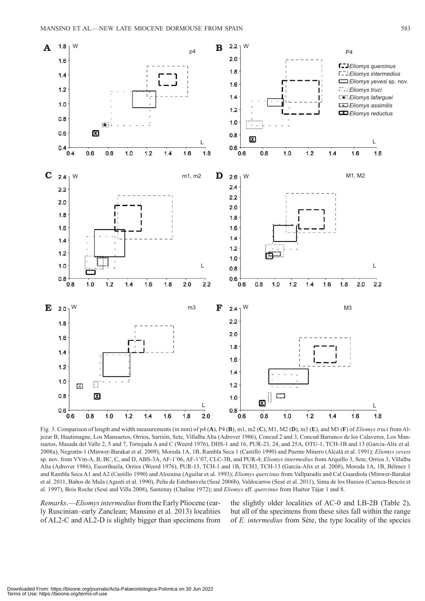

Fig. 3. Comparison of length and width measurements (in mm) of p4 (**A**), P4 (**B**), m1, m2 (**C**), M1, M2 (**D**), m3 (**E**), and M3 (**F**) of *Eliomys truci* from Aljezar B, Hautimagne, Los Mansuetos, Orrios, Sarrión, Sete, Villalba Alta (Adrover 1986), Concud 2 and 3, Concud Barranco de los Calaveros, Los Mansuetos, Masada del Valle 2, 5 and 7, Tortojada A and C (Weerd 1976), DHS-1 and 16, PUR-23, 24, and 25A, OTU-1, TCH-1B and 13 (García-Alix et al. 2008a), Negratín-1 (Minwer-Barakat et al. 2009); Moreda 1A, 1B, Rambla Seca 1 (Castillo 1990) and Puente Minero (Alcalá et al. 1991); *Eliomys yevesi*  sp. nov. from VVm-A, B, BC, C, and D, ABS-3A, AF-1'06, AF-1'07, CLC-3B, and PUR-4; *Eliomys intermedius* from Arquillo 3, Sete, Orrios 3, Villalba Alta (Adrover 1986), Escorihuela, Orrios (Weerd 1976), PUR-13, TCH-1 and 1B, TCH3, TCH-13 (García-Alix et al. 2008), Moreda 1A, 1B, Bélmez 1 and Rambla Seca A1 and A2 (Castillo 1990) and Alozaina (Aguilar et al. 1993); *Eliomys quercinus* from Vallparadís and Cal Guardiola (Minwer-Barakat et al. 2011, Baños de Mula (Agustí et al. 1990), Peña de Estebanvela (Sesé 2006b), Valdocarros (Sesé et al. 2011), Sima de los Huesos (Cuenca-Bescós et al. 1997), Bois Roche (Sesé and Villa 2008), Santenay (Chaline 1972); and *Eliomys* aff. *quercinus* from Huétor Tájar 1 and 8.

*Remarks*.—*Eliomys intermedius* from the Early Pliocene (early Ruscinian–early Zanclean; Mansino et al. 2013) localities of AL2-C and AL2-D is slightly bigger than specimens from the slightly older localities of AC-0 and LB-2B (Table 2), but all of the specimens from these sites fall within the range of *E. intermedius* from Sète, the type locality of the species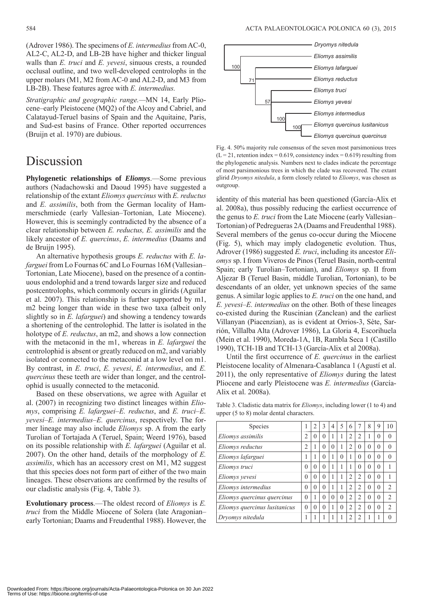(Adrover 1986). The specimens of *E. intermedius* from AC-0, AL2-C, AL2-D, and LB-2B have higher and thicker lingual walls than *E. truci* and *E. yevesi*, sinuous crests, a rounded occlusal outline, and two well-developed centrolophs in the upper molars (M1, M2 from AC-0 and AL2-D, and M3 from LB-2B). These features agree with *E. intermedius.*

*Stratigraphic and geographic range.—*MN 14, Early Pliocene–early Pleistocene (MQ2) of the Alcoy and Cabriel, and Calatayud-Teruel basins of Spain and the Aquitaine, Paris, and Sud-est basins of France. Other reported occurrences (Bruijn et al. 1970) are dubious.

### Discussion

**Phylogenetic relationships of** *Eliomys*.—Some previous authors (Nadachowski and Daoud 1995) have suggested a relationship of the extant *Eliomys quercinus* with *E. reductus* and *E. assimilis*, both from the German locality of Hammerschmiede (early Vallesian–Tortonian, Late Miocene). However, this is seemingly contradicted by the absence of a clear relationship between *E. reductus, E. assimilis* and the likely ancestor of *E. quercinus*, *E. intermedius* (Daams and de Bruijn 1995).

An alternative hypothesis groups *E. reductus* with *E. lafarguei* from Lo Fournas 6C and Lo Fournas 16M (Vallesian– Tortonian, Late Miocene), based on the presence of a continuous endolophid and a trend towards larger size and reduced postcentrolophs, which commonly occurs in glirids (Aguilar et al. 2007). This relationship is further supported by m1, m2 being longer than wide in these two taxa (albeit only slightly so in *E. lafarguei*) and showing a tendency towards a shortening of the centrolophid. The latter is isolated in the holotype of *E. reductus*, an m2, and shows a low connection with the metaconid in the m1, whereas in *E. lafarguei* the centrolophid is absent or greatly reduced on m2, and variably isolated or connected to the metaconid at a low level on m1. By contrast, in *E. truci*, *E. yevesi*, *E. intermedius*, and *E. quercinus* these teeth are wider than longer, and the centrolophid is usually connected to the metaconid.

Based on these observations, we agree with Aguilar et al. (2007) in recognizing two distinct lineages within *Eliomys*, comprising *E. lafarguei*–*E. reductus*, and *E. truci*–*E. yevesi*–*E. intermedius*–*E. quercinus*, respectively. The former lineage may also include *Eliomys* sp. A from the early Turolian of Tortajada A (Teruel, Spain; Weerd 1976), based on its possible relationship with *E. lafarguei* (Aguilar et al. 2007). On the other hand, details of the morphology of *E. assimilis*, which has an accessory crest on M1, M2 suggest that this species does not form part of either of the two main lineages. These observations are confirmed by the results of our cladistic analysis (Fig. 4, Table 3).

**Evolutionary process**.—The oldest record of *Eliomys* is *E. truci* from the Middle Miocene of Solera (late Aragonian– early Tortonian; Daams and Freudenthal 1988). However, the



Fig. 4. 50% majority rule consensus of the seven most parsimonious trees  $(L = 21$ , retention index = 0.619, consistency index = 0.619) resulting from the phylogenetic analysis. Numbers next to clades indicate the percentage of most parsimonious trees in which the clade was recovered. The extant glirid *Dryomys nitedula*, a form closely related to *Eliomys*, was chosen as outgroup.

identity of this material has been questioned (García-Alix et al. 2008a), thus possibly reducing the earliest occurrence of the genus to *E. truci* from the Late Miocene (early Vallesian– Tortonian) of Pedregueras 2A (Daams and Freudenthal 1988). Several members of the genus co-occur during the Miocene (Fig. 5), which may imply cladogenetic evolution. Thus, Adrover (1986) suggested *E. truci*, including its ancestor *Eliomys* sp. I from Viveros de Pinos (Teruel Basin, north-central Spain; early Turolian–Tortonian), and *Eliomys* sp. II from Aljezar B (Teruel Basin, middle Turolian, Tortonian), to be descendants of an older, yet unknown species of the same genus. A similar logic applies to *E. truci* on the one hand, and *E. yevesi*–*E. intermedius* on the other. Both of these lineages co-existed during the Ruscinian (Zanclean) and the earliest Villanyan (Piacenzian), as is evident at Orrios-3, Sète, Sarrión, Villalba Alta (Adrover 1986), La Gloria 4, Escorihuela (Mein et al. 1990), Moreda-1A, 1B, Rambla Seca 1 (Castillo 1990), TCH-1B and TCH-13 (García-Alix et al 2008a).

Until the first occurrence of *E. quercinus* in the earliest Pleistocene locality of Almenara-Casablanca 1 (Agustí et al. 2011), the only representative of *Eliomys* during the latest Pliocene and early Pleistocene was *E. intermedius* (García-Alix et al. 2008a).

| <b>Species</b>                |                | $\mathfrak{D}$ | $\mathcal{E}$ | $\overline{4}$ | 5        | 6              | 7              | 8        | 9        | 10             |
|-------------------------------|----------------|----------------|---------------|----------------|----------|----------------|----------------|----------|----------|----------------|
| Eliomys assimilis             | 2              | $\Omega$       | $\theta$      | 1              |          | $\overline{2}$ | 2              |          | 0        | $\theta$       |
| Eliomys reductus              | $\mathfrak{D}$ | ı.             | 0             | $\theta$       | 1        | $\overline{2}$ | $\theta$       | $\Omega$ | $\Omega$ | $\theta$       |
| Eliomys lafarguei             |                |                | $\Omega$      | 1              | $\Omega$ | 1              | $\Omega$       | $\Omega$ | $\Omega$ | $\theta$       |
| Eliomys truci                 | 0              | $\Omega$       | $\Omega$      | 1              |          |                | 0              | 0        | $\Omega$ | 1              |
| Eliomys yevesi                | 0              | $\Omega$       | $\theta$      | 1              |          | $\overline{2}$ | 2              | $\Omega$ | $\Omega$ | 1              |
| Eliomys intermedius           | $\Omega$       | $\theta$       | $\theta$      | 1              | 1        | $\overline{2}$ | $\overline{c}$ | $\Omega$ | $\Omega$ | $\mathfrak{D}$ |
| Eliomys quercinus quercinus   | $\Omega$       |                | $\theta$      | $\theta$       | $\theta$ | 2              | $\mathfrak{D}$ | $\Omega$ | $\Omega$ | $\mathfrak{D}$ |
| Eliomys quercinus lusitanicus | $\Omega$       | $\Omega$       | $\theta$      | 1              | $\Omega$ | $\overline{2}$ | $\mathfrak{D}$ | 0        | $\Omega$ | $\mathfrak{D}$ |
| Dryomys nitedula              |                |                |               |                |          | $\overline{2}$ | っ              |          |          | $\Omega$       |

Table 3. Cladistic data matrix for *Eliomys*, including lower (1 to 4) and upper (5 to 8) molar dental characters.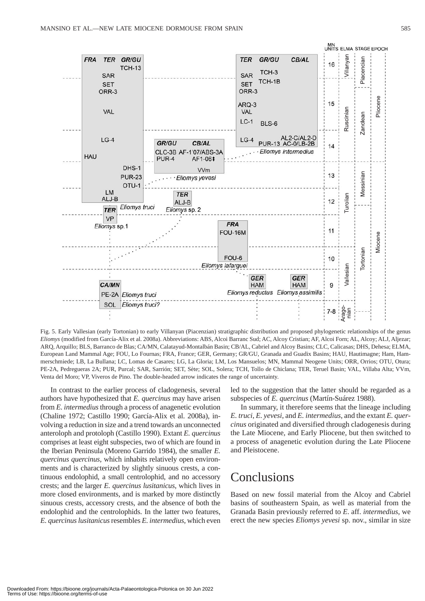

Fig. 5. Early Vallesian (early Tortonian) to early Villanyan (Piacenzian) stratigraphic distribution and proposed phylogenetic relationships of the genus *Eliomys* (modified from García-Alix et al. 2008a). Abbreviations: ABS, Alcoi Barranc Sud; AC, Alcoy Cristian; AF, Alcoi Forn; AL, Alcoy; ALJ, Aljezar; ARQ, Arquillo; BLS, Barranco de Blas; CA/MN, Calatayud-Montalbán Basin; CB/AL, Cabriel and Alcoy Basins; CLC, Calicasas; DHS, Dehesa; ELMA, European Land Mammal Age; FOU, Lo Fournas; FRA, France; GER, Germany; GR/GU, Granada and Guadix Basins; HAU, Hautimagne; Ham, Hammerschmiede; LB, La Bullana; LC, Lomas de Casares; LG, La Gloria; LM, Los Mansuelos; MN, Mammal Neogene Units; ORR, Orrios; OTU, Otura; PE-2A, Pedregueras 2A; PUR, Purcal; SAR, Sarrión; SET, Sète; SOL, Solera; TCH, Tollo de Chiclana; TER, Teruel Basin; VAL, Villaba Alta; VVm, Venta del Moro; VP, Viveros de Pino. The double-headed arrow indicates the range of uncertainty.

In contrast to the earlier process of cladogenesis, several authors have hypothesized that *E. quercinus* may have arisen from *E. intermedius* through a process of anagenetic evolution (Chaline 1972; Castillo 1990; García-Alix et al. 2008a), involving a reduction in size and a trend towards an unconnected anteroloph and protoloph (Castillo 1990). Extant *E. quercinus* comprises at least eight subspecies, two of which are found in the Iberian Peninsula (Moreno Garrido 1984), the smaller *E. quercinus quercinus*, which inhabits relatively open environments and is characterized by slightly sinuous crests, a continuous endolophid, a small centrolophid, and no accessory crests; and the larger *E. quercinus lusitanicus*, which lives in more closed environments, and is marked by more distinctly sinuous crests, accessory crests, and the absence of both the endolophid and the centrolophids. In the latter two features, *E. quercinus lusitanicus* resembles *E. intermedius*, which even led to the suggestion that the latter should be regarded as a subspecies of *E. quercinus* (Martín-Suárez 1988).

In summary, it therefore seems that the lineage including *E. truci*, *E. yevesi*, and *E. intermedius*, and the extant *E. quercinus* originated and diversified through cladogenesis during the Late Miocene, and Early Pliocene, but then switched to a process of anagenetic evolution during the Late Pliocene and Pleistocene.

### Conclusions

Based on new fossil material from the Alcoy and Cabriel basins of southeastern Spain, as well as material from the Granada Basin previously referred to *E*. aff. *intermedius*, we erect the new species *Eliomys yevesi* sp. nov., similar in size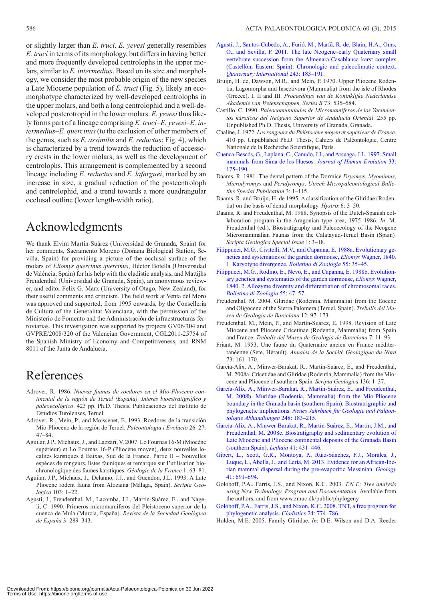or slightly larger than *E. truci*. *E. yevesi* generally resembles *E. truci* in terms of its morphology, but differs in having better and more frequently developed centrolophs in the upper molars, similar to *E. intermedius*. Based on its size and morphology, we consider the most probable origin of the new species a Late Miocene population of *E. truci* (Fig. 5), likely an ecomorphotype characterized by well-developed centrolophs in the upper molars, and both a long centrolophid and a well-developed posterotropid in the lower molars. *E. yevesi* thus likely forms part of a lineage comprising *E. truci*–*E. yevesi*–*E. intermedius*–*E. quercinus* (to the exclusion of other members of the genus, such as *E. assimilis* and *E. reductus*; Fig. 4), which is characterized by a trend towards the reduction of accessory crests in the lower molars, as well as the development of centrolophs. This arrangement is complemented by a second lineage including *E. reductus* and *E. lafarguei*, marked by an increase in size, a gradual reduction of the postcentroloph and centrolophid, and a trend towards a more quadrangular occlusal outline (lower length-width ratio).

## Acknowledgments

We thank Elvira Martín-Suárez (Universidad de Granada, Spain) for her comments, Sacramento Moreno (Doñana Biological Station, Sevilla, Spain) for providing a picture of the occlusal surface of the molars of *Eliomys quercinus quercinus*, Héctor Botella (Universidad de València, Spain) for his help with the cladistic analysis, and Mattijhs Freudenthal (Universidad de Granada, Spain), an anonymous reviewer, and editor Felix G. Marx (University of Otago, New Zealand), for their useful comments and criticism. The field work at Venta del Moro was approved and supported, from 1995 onwards, by the Conselleria de Cultura of the Generalitat Valenciana, with the permission of the Ministerio de Fomento and the Administración de infraestructuras ferroviarias. This investigation was supported by projects GV06/304 and GVPRE/2008/320 of the Valencian Government, CGL2011-25754 of the Spanish Ministry of Economy and Competitiveness, and RNM 8011 of the Junta de Andalucía.

## References

- Adrover, R. 1986. *Nuevas faunas de roedores en el Mio-Plioceno continental de la región de Teruel (España). Interés bioestratigráfico y paleoecológico*. 423 pp. Ph.D. Thesis, Publicaciones del Instituto de Estudios Turolenses, Teruel.
- Adrover, R., Mein, P., and Moissenet, E. 1993. Roedores de la transición Mio- Plioceno de la región de Teruel. *Paleontologia i Evolució* 26–27: 47–84.
- Aguilar, J.P., Michaux, J., and Lazzari, V. 2007. Lo Fournas 16-M (Miocène supérieur) et Lo Fournas 16-P (Pliocène moyen), deux nouvelles localités karstiques à Baixas, Sud de la France. Partie II – Nouvelles espèces de rongeurs, listes fauniques et remarque sur l'utilisation biochronologique des faunes karstiques. *Géologie de la France* 1: 63–81.
- Aguilar, J.P., Michaux, J., Delanno, J.J., and Guendon, J.L. 1993. A Late Pliocene rodent fauna from Alozaina (Málaga, Spain). *Scripta Geologica* 103: 1–22.
- Agustí, J., Freudenthal, M., Lacomba, J.I., Martín-Suárez, E., and Nageli, C. 1990. Primeros micromamíferos del Pleistoceno superior de la cuenca de Mula (Murcia, España). *Revista de la Sociedad Geológica de España* 3: 289–343.
- [Agustí, J., Santos-Cubedo, A., Furió, M., Marfá, R. de, Blain, H.A., Oms,](http://dx.doi.org/10.1016/j.quaint.2010.11.016) O., and Sevilla, P. 2011. The late Neogene–early Quaternary small vertebrate succession from the Almenara-Casablanca karst complex (Castellón, Eastern Spain): Chronologic and paleoclimatic context. *Quaternary International* 243: 183–191.
- Bruijn, H. de, Dawson, M.R., and Mein, P. 1970. Upper Pliocene Rodentia, Lagomorpha and Insectivora (Mammalia) from the isle of Rhodes (Greece). I, II and III. *Proceedings van de Koninklijke Nederlandse Akademie van Wetenschappen, Series B* 73: 535–584.
- Castillo, C. 1990. *Paleocomunidades de Micromamíferos de los Yacimientos kársticos del Neógeno Superior de Andalucía Oriental*. 255 pp. Unpublished Ph.D. Thesis, University of Granada, Granada.
- Chaline, J. 1972. *Les rongeurs du Pléistocène moyen et supérieur de France*. 410 pp. Unpublished Ph.D. Thesis, Cahiers de Paléontologie, Centre Nationale de la Recherche Scientifique, París.
- [Cuenca-Bescós, G., Laplana, C., Canudo, J.I., and Arsuaga, J.L. 1997. Small](http://dx.doi.org/10.1006/jhev.1997.0153) mammals from Sima de los Huesos. *Journal of Human Evolution* 33: 175–190.
- Daams, R. 1981. The dental pattern of the Dormice *Dryomys*, *Myomimus*, *Microdyromys* and *Peridyromys*. *Utrech Micropaleontological Bulletins Special Publication* 3: 1–115.
- Daams, R. and Bruijn, H. de 1995. A classification of the Gliridae (Rodentia) on the basis of dental morphology. *Hystrix* 6: 3–50.
- Daams, R. and Freudenthal, M. 1988. Synopsis of the Dutch-Spanish collaboration program in the Aragonian type area, 1975–1986. *In*: M. Freudenthal (ed.), Biostratigraphy and Paleoecology of the Neogene Micromammalian Faunas from the Calatayud-Teruel Basin (Spain)*. Scripta Geologica Special Issue* 1: 3–18.
- [Filippucci, M.G., Civitelli, M.V., and Capanna, E. 1988a. Evolutionary ge](http://dx.doi.org/10.1080/11250008809386597)netics and systematics of the garden dormouse, *Eliomys* Wagner, 1840. 1. Karyotype divergence. *Bolletino di Zoologia* 55: 35–45.
- [Filippucci, M.G., Rodino, E., Nevo, E., and Capanna, E. 1988b. Evolution](http://dx.doi.org/10.1080/11250008809386598)ary genetics and systematics of the garden dormouse, *Eliomys* Wagner, 1840. 2. Allozyme diversity and differentiation of chromosomal races. *Bolletino di Zoologia* 55: 47–57.
- Freudenthal, M. 2004. Gliridae (Rodentia, Mammalia) from the Eocene and Oligocene of the Sierra Palomera (Teruel, Spain). *Treballs del Museu de Geologia de Barcelona* 12: 97–173.
- Freudenthal, M., Mein, P., and Martín-Suárez, E. 1998. Revision of Late Miocene and Pliocene Cricetinae (Rodentia, Mammalia) from Spain and France. *Treballs del Museu de Geologia de Barcelona* 7: 11–93.
- Friant, M. 1953. Une faune du Quaternaire ancien en France méditerranéenne (Sète, Hérault). *Annales de la Société Géologique du Nord* 73: 161–170.
- García-Alix, A., Minwer-Barakat, R., Martín-Suárez, E., and Freudenthal, M. 2008a. Cricetidae and Gliridae (Rodentia, Mammalia) from the Miocene and Pliocene of southern Spain. *Scripta Geologica* 136: 1–37.
- [García-Alix, A., Minwer-Barakat, R., Martín-Suárez, E., and Freudenthal,](http://dx.doi.org/10.1080/11250008809386598) M. 2008b. Muridae (Rodentia, Mammalia) from the Mio-Pliocene boundary in the Granada basin (southern Spain). Biostratrigraphic and phylogenetic implications. *Neues Jahrbuch für Geologie und Paläontologie Abhandlungen* 248: 183–215.
- [García-Alix, A., Minwer-Barakat, R., Martín-Suárez, E., Martín, J.M., and](http://dx.doi.org/10.1111/j.1502-3931.2008.00097.x) Freudenthal, M. 2008c. Biostratigraphy and sedimentary evolution of Late Miocene and Pliocene continental deposits of the Granada Basin (southern Spain). *Lethaia* 41: 431–446.
- [Gibert, L., Scott, G.R., Montoya, P., Ruiz-Sánchez, F.J., Morales, J.,](http://dx.doi.org/10.1130/G34164.1) Luque, L., Abella, J., and Lería, M. 2013. Evidence for an African-Iberian mam mal dispersal during the pre-evaporitic Messinian. *Geology* 41: 691–694.
- Goloboff, P.A., Farris, J.S., and Nixon, K.C. 2003. *T.N.T.: Tree analysis using New Technology. Program and Documentation.* Available from the authors, and from www.zmuc.dk/public/phylogeny
- [Goloboff, P.A., Farris, J.S., and Nixon, K.C. 2008. TNT, a free program for](http://dx.doi.org/10.1130/G34164.1) phylogenetic analysis. *Cladistics* 24: 774–786.
- Holden, M.E. 2005. Family Gliridae. *In*: D.E. Wilson and D.A. Reeder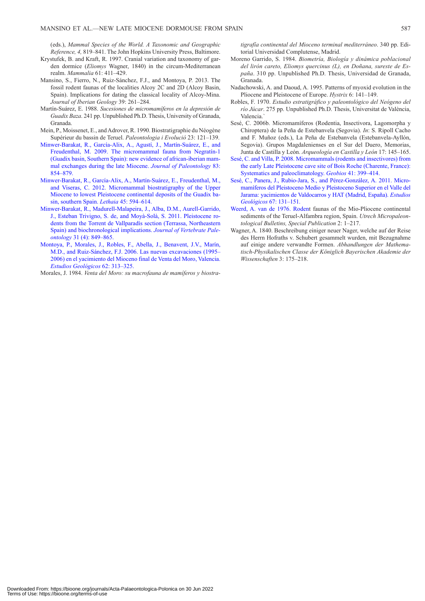(eds.), *Mammal Species of the World. A Taxonomic and Geographic Reference, 4,* 819–841. The John Hopkins University Press, Baltimore.

- Krystufek, B. and Kraft, R. 1997. Cranial variation and taxonomy of garden dormice (*Eliomys* Wagner, 1840) in the circum-Mediterranean realm. *Mammalia* 61: 411–429.
- Mansino, S., Fierro, N., Ruiz-Sánchez, F.J., and Montoya, P. 2013. The fossil rodent faunas of the localities Alcoy 2C and 2D (Alcoy Basin, Spain). Implications for dating the classical locality of Alcoy-Mina. *Journal of Iberian Geology* 39: 261–284.
- Martín-Suárez, E. 1988. *Sucesiones de micromamíferos en la depresión de Guadix Baza*. 241 pp. Unpublished Ph.D. Thesis, University of Granada, Granada.
- Mein, P., Moissenet, E., and Adrover, R. 1990. Biostratigraphie du Néogène Supérieur du bassin de Teruel. *Paleontologia i Evolució* 23: 121–139.
- [Minwer-Barakat, R., García-Alix, A., Agustí, J., Martín-Suárez, E., and](http://dx.doi.org/10.1666/09-009.1)  Freudenthal, M. 2009. The micromammal fauna from Negratín-1 (Guadix basin, Southern Spain): new evidence of african-iberian mammal exchanges during the late Miocene. *Journal of Paleontology* 83: 854–879.
- [Minwer-Barakat, R., García-Alix, A., Martín-Suárez, E., Freudenthal, M.,](http://dx.doi.org/10.1111/j.1502-3931.2012.00324.x)  and Viseras, C. 2012. Micromammal biostratigraphy of the Upper Miocene to lowest Pleistocene continental deposits of the Guadix basin, southern Spain. *Lethaia* 45: 594–614.
- [Minwer-Barakat, R., Madurell-Malapeira, J., Alba, D.M., Aurell-Garrido,](http://dx.doi.org/10.1080/02724634.2011.576730)  J., Esteban Trivigno, S. de, and Moyà-Solà, S. 2011. Pleistocene rodents from the Torrent de Vallparadís section (Terrassa, Northeastern Spain) and biochronological implications. *Journal of Vertebrate Paleontology* 31 (4): 849–865.
- [Montoya, P., Morales, J., Robles, F., Abella, J., Benavent, J.V., Marín,](http://dx.doi.org/10.3989/egeol.0662128)  M.D., and Ruiz-Sánchez, F.J. 2006. Las nuevas excavaciones (1995– 2006) en el yacimiento del Mioceno final de Venta del Moro, Valencia. *Estudios Geológicos* 62: 313–325.

Morales, J. 1984. *Venta del Moro: su macrofauna de mamíferos y biostra-*

*tigrafía continental del Mioceno terminal mediterráneo*. 340 pp. Editorial Universidad Complutense, Madrid.

- Moreno Garrido, S. 1984. *Biometría, Biología y dinámica poblacional del lirón careto, Eliomys quercinus (L), en Doñana, sureste de España*. 310 pp. Unpublished Ph.D. Thesis, Universidad de Granada, Granada.
- Nadachowski, A. and Daoud, A. 1995. Patterns of myoxid evolution in the Pliocene and Pleistocene of Europe. *Hystrix* 6: 141–149.
- Robles, F. 1970. *Estudio estratigráfico y paleontológico del Neógeno del río Júcar*. 275 pp. Unpublished Ph.D. Thesis, Universitat de València, Valencia.`
- [Sesé, C. 2006b. Micromamíferos \(Rodentia, Insectivora, Lagomorpha y](http://dx.doi.org/10.3989/egeol.0662138) Chiroptera) de la Peña de Estebanvela (Segovia). *In*: S. Ripoll Cacho and F. Muñoz (eds.), La Peña de Estebanvela (Estebanvela-Ayllón, Segovia). Grupos Magdalenienses en el Sur del Duero, Memorias, Junta de Castilla y León. *Arqueología en Castilla y León* 17: 145–165.
- Sesé, C. and Villa, P. 2008. Micromammals (rodents and insectivores) from the early Late Pleistocene cave site of Bois Roche (Charente, France): Systematics and paleoclimatology. *Geobios* 41: 399–414.
- [Sesé, C., Panera, J., Rubio-Jara, S., and Pérez-González, A. 2011. Micro](http://dx.doi.org/10.1016/j.geobios.2007.10.005)mamíferos del Pleistoceno Medio y Pleistoceno Superior en el Valle del Jarama: yacimientos de Valdocarros y HAT (Madrid, España). *Estudios Geológicos* 67: 131–151.
- [Weerd, A. van de 1976. Rodent faunas of the Mio-Pliocene continental](http://dx.doi.org/10.3989/egeol.40290.127) sediments of the Teruel-Alfambra region, Spain. *Utrech Micropaleontological Bulletins, Special Publication* 2: 1–217.
- Wagner, A. 1840. Beschreibung einiger neuer Nager, welche auf der Reise des Herrn Hofraths v. Schubert gesammelt wurden, mit Bezugnahme auf einige andere verwandte Formen. *Abhandlungen der Mathematisch-Physikalischen Classe der Königlich Bayerischen Akademie der Wissenschaften* 3: 175–218.